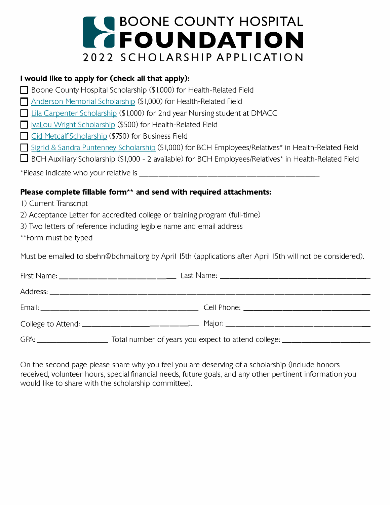

## **I would like to apply for (check all that apply):**

□ Boone County Hospital Scholarship (\$1,000) for Health-Related Field

**D** [Anderson Memorial Scholarship](https://drive.google.com/file/d/14JkHoqyVTuOfuRbcBBGYLrcFw4adPXyH/view?usp=sharing) (\$1,000) for Health-Related Field

**D** [Lila Carpenter Scholarship](https://drive.google.com/file/d/1_uF7tH48_JG--5TILswMw9qvt9w8h9MO/view?usp=sharing) (\$1,000) for 2nd year Nursing student at DMACC

D IvaLou Wright Scholarship (\$500) for Health-Related Field

**D** [Cid Metcalf Scholarship](https://drive.google.com/file/d/1H7sEEYYfrnPMNCNADfrOAk8VgTlBjI0j/view?usp=sharing) (\$750) for Business Field

■ [Sigrid & Sandra Puntenney Scholarship](https://drive.google.com/file/d/1skGvQZ3FInMlqrJDhMOzqz-TrG5nb2ay/view?usp=sharing) (\$1,000) for BCH Employees/Relatives<sup>\*</sup> in Health-Related Field

 $\Box$  BCH Auxiliary Scholarship (\$1,000 - 2 available) for BCH Employees/Relatives\* in Health-Related Field

\*Please indicate who your relative is \_\_\_\_\_\_\_\_\_\_\_\_\_\_\_\_\_\_ \_

## **Please complete fillable form\*\* and send with required attachments:**

I) Current Transcript

2) Acceptance Letter for accredited college or training program (full-time)

3) Two letters of reference including legible name and email address

\*\*Form must be typed

Must be emailed to sbehn@bchmail.org by April 15th (applications after April 15th will not be considered).

On the second page please share why you feel you are deserving of a scholarship (include honors received, volunteer hours, special financial needs, future goals, and any other pertinent information you would like to share with the scholarship committee).